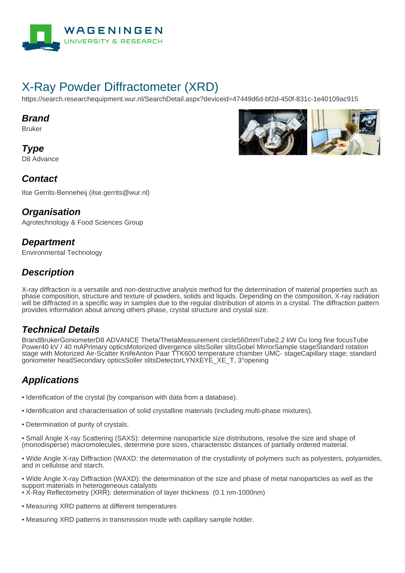

# X-Ray Powder Diffractometer (XRD)

https://search.researchequipment.wur.nl/SearchDetail.aspx?deviceid=47449d6d-bf2d-450f-831c-1e40109ac915

#### **Brand**

Bruker

**Type** D8 Advance



#### **Contact**

Ilse Gerrits-Benneheij (ilse.gerrits@wur.nl)

#### **Organisation**

Agrotechnology & Food Sciences Group

#### **Department**

Environmental Technology

### **Description**

X-ray diffraction is a versatile and non-destructive analysis method for the determination of material properties such as phase composition, structure and texture of powders, solids and liquids. Depending on the composition, X-ray radiation will be diffracted in a specific way in samples due to the regular distribution of atoms in a crystal. The diffraction pattern provides information about among others phase, crystal structure and crystal size.

### **Technical Details**

BrandBrukerGoniometerD8 ADVANCE Theta/ThetaMeasurement circle560mmTube2.2 kW Cu long fine focusTube Power40 kV / 40 mAPrimary opticsMotorized divergence slitsSoller slitsGobel MirrorSample stageStandard rotation stage with Motorized Air-Scatter KnifeAnton Paar TTK600 temperature chamber UMC- stageCapillary stage; standard goniometer headSecondary opticsSoller slitsDetectorLYNXEYE\_XE\_T, 3°opening

## **Applications**

- Identification of the crystal (by comparison with data from a database).
- Identification and characterisation of solid crystalline materials (including multi-phase mixtures).
- Determination of purity of crystals.

• Small Angle X-ray Scattering (SAXS): determine nanoparticle size distributions, resolve the size and shape of (monodisperse) macromolecules, determine pore sizes, characteristic distances of partially ordered material.

• Wide Angle X-ray Diffraction (WAXD: the determination of the crystallinity of polymers such as polyesters, polyamides, and in cellulose and starch.

• Wide Angle X-ray Diffraction (WAXD): the determination of the size and phase of metal nanoparticles as well as the support materials in heterogeneous catalysts

- X-Ray Reflectometry (XRR): determination of layer thickness (0.1 nm-1000nm)
- Measuring XRD patterns at different temperatures
- Measuring XRD patterns in transmission mode with capillary sample holder.